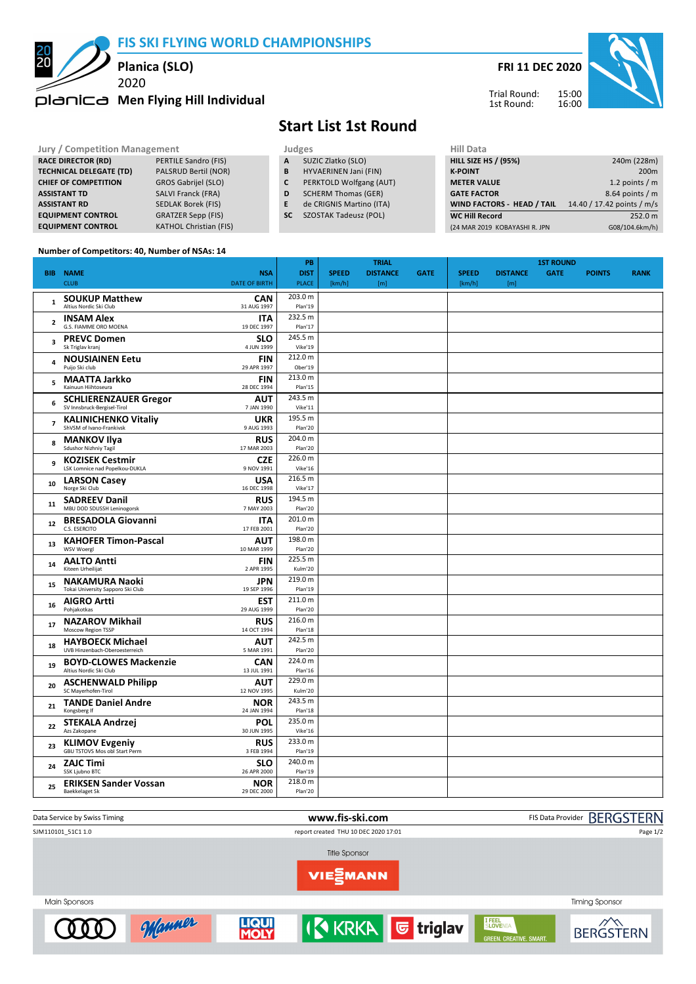**FIS SKI FLYING WORLD CHAMPIONSHIPS**





Trial Round: 1st Round:



## **Jury / Competition Management Judges Hill Data**<br> **RACE DIRECTOR (RD)** PERTILE Sandro (FIS) **A** SUZIC Zlatko (SLO) **HILL SIZE HILL SIZE H RACE DIRECTOR (RD)** PERTILE Sandro (FIS)<br> **TECHNICAL DELEGATE (TD)** PALSRUD Bertil (NOR) **TECHNICAL DELEGATE (TD) CHIEF OF COMPETITION** GROS Gabrijel (SLO) **ASSISTANT TD** SALVI Franck (FRA) **ASSISTANT RD** SEDLAK Borek (FIS) **EQUIPMENT CONTROL** GRATZER Sepp (FIS) **EQUIPMENT CONTROL** KATHOL Christian (FIS) **A** SUZIC Zlatko (SLO)<br>**B** HYVAERINEN Jani ( **B** HYVAERINEN Jani (FIN) **C** PERKTOLD Wolfgang (AUT) **D** SCHERM Thomas (GER) **E** de CRIGNIS Martino (ITA) **SC** SZOSTAK Tadeusz (POL) **HILL SIZE HS / (95%)** 240m (228m) **K-POINT** 200m **METER VALUE** 1.2 points / m **GATE FACTOR** 8.64 points / m **WIND FACTORS - HEAD / TAIL** 14.40 / 17.42 points / m/s **WC Hill Record** 252.0 m<br>
(24 MAR 2019 KOBAYASHI R. JPN 608/104.6km/h) (24 MAR 2019 KOBAYASHI R. JPN

**Start List 1st Round**

## **Number of Competitors: 40, Number of NSAs: 14**

|                |                                                                                         | PB                 |              | <b>TRIAL</b>    |             |              | <b>1ST ROUND</b> |             |               |             |  |  |
|----------------|-----------------------------------------------------------------------------------------|--------------------|--------------|-----------------|-------------|--------------|------------------|-------------|---------------|-------------|--|--|
|                | <b>BIB NAME</b><br><b>NSA</b>                                                           | <b>DIST</b>        | <b>SPEED</b> | <b>DISTANCE</b> | <b>GATE</b> | <b>SPEED</b> | <b>DISTANCE</b>  | <b>GATE</b> | <b>POINTS</b> | <b>RANK</b> |  |  |
|                | <b>DATE OF BIRTH</b><br><b>CLUB</b>                                                     | <b>PLACE</b>       | [km/h]       | [m]             |             | [km/h]       | [m]              |             |               |             |  |  |
|                | <b>SOUKUP Matthew</b><br><b>CAN</b>                                                     | 203.0 m            |              |                 |             |              |                  |             |               |             |  |  |
| $\mathbf{1}$   | Altius Nordic Ski Club<br>31 AUG 1997                                                   | Plan'19            |              |                 |             |              |                  |             |               |             |  |  |
| $\overline{2}$ | <b>INSAM Alex</b><br><b>ITA</b>                                                         | 232.5 m            |              |                 |             |              |                  |             |               |             |  |  |
|                | G.S. FIAMME ORO MOENA<br>19 DEC 1997                                                    | Plan'17            |              |                 |             |              |                  |             |               |             |  |  |
| 3              | <b>SLO</b><br><b>PREVC Domen</b>                                                        | 245.5 m            |              |                 |             |              |                  |             |               |             |  |  |
|                | Sk Triglav kranj<br>4 JUN 1999                                                          | Vike'19            |              |                 |             |              |                  |             |               |             |  |  |
| 4              | <b>NOUSIAINEN Eetu</b><br><b>FIN</b>                                                    | 212.0 m            |              |                 |             |              |                  |             |               |             |  |  |
|                | Puijo Ski club<br>29 APR 1997                                                           | Ober'19            |              |                 |             |              |                  |             |               |             |  |  |
| 5              | <b>MAATTA Jarkko</b><br><b>FIN</b><br>Kainuun Hiihtoseura                               | 213.0 m            |              |                 |             |              |                  |             |               |             |  |  |
|                | 28 DEC 1994                                                                             | Plan'15<br>243.5 m |              |                 |             |              |                  |             |               |             |  |  |
| 6              | <b>SCHLIERENZAUER Gregor</b><br><b>AUT</b><br>SV Innsbruck-Bergisel-Tirol<br>7 JAN 1990 | Vike'11            |              |                 |             |              |                  |             |               |             |  |  |
|                | <b>KALINICHENKO Vitaliy</b><br><b>UKR</b>                                               | 195.5 m            |              |                 |             |              |                  |             |               |             |  |  |
| $\overline{7}$ | ShVSM of Ivano-Frankivsk<br>9 AUG 1993                                                  | Plan'20            |              |                 |             |              |                  |             |               |             |  |  |
|                | <b>MANKOV Ilya</b><br><b>RUS</b>                                                        | 204.0 m            |              |                 |             |              |                  |             |               |             |  |  |
| 8              | Sdushor Nizhniy Tagil<br>17 MAR 2003                                                    | Plan'20            |              |                 |             |              |                  |             |               |             |  |  |
| 9              | <b>CZE</b><br><b>KOZISEK Cestmir</b>                                                    | 226.0 m            |              |                 |             |              |                  |             |               |             |  |  |
|                | LSK Lomnice nad Popelkou-DUKLA<br>9 NOV 1991                                            | Vike'16            |              |                 |             |              |                  |             |               |             |  |  |
| 10             | <b>USA</b><br><b>LARSON Casey</b>                                                       | 216.5 m            |              |                 |             |              |                  |             |               |             |  |  |
|                | Norge Ski Club<br>16 DEC 1998                                                           | Vike'17            |              |                 |             |              |                  |             |               |             |  |  |
| 11             | <b>RUS</b><br><b>SADREEV Danil</b>                                                      | 194.5 m            |              |                 |             |              |                  |             |               |             |  |  |
|                | MBU DOD SDUSSH Leninogorsk<br>7 MAY 2003                                                | Plan'20            |              |                 |             |              |                  |             |               |             |  |  |
| 12             | <b>BRESADOLA Giovanni</b><br><b>ITA</b><br>C.S. ESERCITO<br>17 FEB 2001                 | 201.0 m<br>Plan'20 |              |                 |             |              |                  |             |               |             |  |  |
|                |                                                                                         | 198.0 m            |              |                 |             |              |                  |             |               |             |  |  |
| 13             | <b>KAHOFER Timon-Pascal</b><br>AUT<br>WSV Woergl<br>10 MAR 1999                         | Plan'20            |              |                 |             |              |                  |             |               |             |  |  |
|                | <b>AALTO Antti</b><br><b>FIN</b>                                                        | 225.5 m            |              |                 |             |              |                  |             |               |             |  |  |
| 14             | Kiteen Urheilijat<br>2 APR 1995                                                         | Kulm'20            |              |                 |             |              |                  |             |               |             |  |  |
| 15             | <b>NAKAMURA Naoki</b><br><b>JPN</b>                                                     | 219.0 m            |              |                 |             |              |                  |             |               |             |  |  |
|                | Tokai University Sapporo Ski Club<br>19 SEP 1996                                        | Plan'19            |              |                 |             |              |                  |             |               |             |  |  |
| 16             | <b>AIGRO Artti</b><br><b>EST</b>                                                        | 211.0 m            |              |                 |             |              |                  |             |               |             |  |  |
|                | Pohjakotkas<br>29 AUG 1999                                                              | Plan'20            |              |                 |             |              |                  |             |               |             |  |  |
| 17             | <b>NAZAROV Mikhail</b><br><b>RUS</b>                                                    | 216.0 m            |              |                 |             |              |                  |             |               |             |  |  |
|                | Moscow Region TSSP<br>14 OCT 1994                                                       | Plan'18<br>242.5 m |              |                 |             |              |                  |             |               |             |  |  |
| 18             | <b>HAYBOECK Michael</b><br>AUT<br>UVB Hinzenbach-Oberoesterreich<br>5 MAR 1991          | Plan'20            |              |                 |             |              |                  |             |               |             |  |  |
|                | <b>BOYD-CLOWES Mackenzie</b><br><b>CAN</b>                                              | 224.0 m            |              |                 |             |              |                  |             |               |             |  |  |
| 19             | Altius Nordic Ski Club<br>13 JUL 1991                                                   | Plan'16            |              |                 |             |              |                  |             |               |             |  |  |
|                | <b>ASCHENWALD Philipp</b><br><b>AUT</b>                                                 | 229.0 m            |              |                 |             |              |                  |             |               |             |  |  |
| 20             | SC Mayerhofen-Tirol<br>12 NOV 1995                                                      | Kulm'20            |              |                 |             |              |                  |             |               |             |  |  |
|                | <b>TANDE Daniel Andre</b><br><b>NOR</b>                                                 | 243.5 m            |              |                 |             |              |                  |             |               |             |  |  |
| 21             | Kongsberg If<br>24 JAN 1994                                                             | Plan'18            |              |                 |             |              |                  |             |               |             |  |  |
| 22             | <b>STEKALA Andrzej</b><br><b>POL</b>                                                    | 235.0 m            |              |                 |             |              |                  |             |               |             |  |  |
|                | Azs Zakopane<br>30 JUN 1995                                                             | Vike'16            |              |                 |             |              |                  |             |               |             |  |  |
| 23             | <b>KLIMOV Evgeniy</b><br><b>RUS</b><br>GBU TSTOVS Mos obl Start Perm                    | 233.0 m            |              |                 |             |              |                  |             |               |             |  |  |
|                | 3 FEB 1994                                                                              | Plan'19            |              |                 |             |              |                  |             |               |             |  |  |
| 24             | <b>ZAJC Timi</b><br><b>SLO</b><br>SSK Ljubno BTC<br>26 APR 2000                         | 240.0 m<br>Plan'19 |              |                 |             |              |                  |             |               |             |  |  |
| 25             | <b>ERIKSEN Sander Vossan</b><br><b>NOR</b>                                              | 218.0 m            |              |                 |             |              |                  |             |               |             |  |  |
|                | <b>Baekkelaget Sk</b><br>29 DEC 2000                                                    | Plan'20            |              |                 |             |              |                  |             |               |             |  |  |
|                |                                                                                         |                    |              |                 |             |              |                  |             |               |             |  |  |